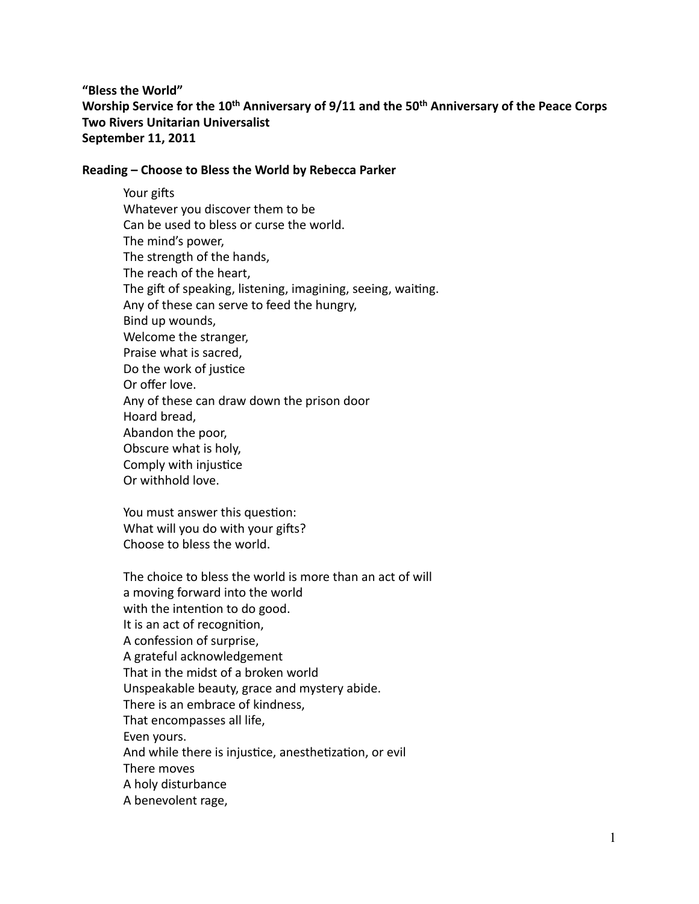"Bless the World" Worship Service for the 10<sup>th</sup> Anniversary of 9/11 and the 50<sup>th</sup> Anniversary of the Peace Corps **Two Rivers Unitarian Universalist** September 11, 2011

## Reading – Choose to Bless the World by Rebecca Parker

Your gifts Whatever you discover them to be Can be used to bless or curse the world. The mind's power, The strength of the hands, The reach of the heart, The gift of speaking, listening, imagining, seeing, waiting. Any of these can serve to feed the hungry, Bind up wounds, Welcome the stranger, Praise what is sacred, Do the work of justice Or offer love. Any of these can draw down the prison door Hoard bread, Abandon the poor, Obscure what is holy, Comply with injustice Or withhold love.

You must answer this question: What will you do with your gifts? Choose to bless the world.

The choice to bless the world is more than an act of will a moving forward into the world with the intention to do good. It is an act of recognition, A confession of surprise, A grateful acknowledgement That in the midst of a broken world Unspeakable beauty, grace and mystery abide. There is an embrace of kindness, That encompasses all life, Even yours. And while there is injustice, anesthetization, or evil There moves A holy disturbance A benevolent rage,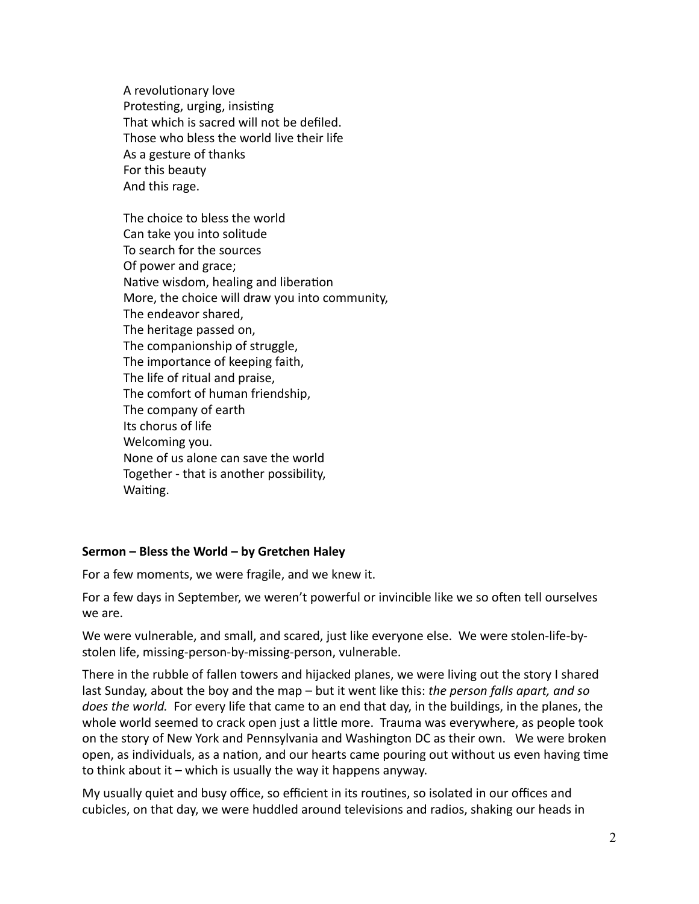A revolutionary love Protesting, urging, insisting That which is sacred will not be defiled. Those who bless the world live their life As a gesture of thanks For this beauty And this rage.

The choice to bless the world Can take you into solitude To search for the sources Of power and grace; Native wisdom, healing and liberation More, the choice will draw you into community, The endeavor shared, The heritage passed on, The companionship of struggle, The importance of keeping faith, The life of ritual and praise, The comfort of human friendship, The company of earth Its chorus of life Welcoming you. None of us alone can save the world Together - that is another possibility, Waiting.

## Sermon – Bless the World – by Gretchen Haley

For a few moments, we were fragile, and we knew it.

For a few days in September, we weren't powerful or invincible like we so often tell ourselves we are.

We were vulnerable, and small, and scared, just like everyone else. We were stolen-life-bystolen life, missing-person-by-missing-person, vulnerable.

There in the rubble of fallen towers and hijacked planes, we were living out the story I shared last Sunday, about the boy and the map – but it went like this: *the person falls apart, and so does the world.* For every life that came to an end that day, in the buildings, in the planes, the whole world seemed to crack open just a little more. Trauma was everywhere, as people took on the story of New York and Pennsylvania and Washington DC as their own. We were broken open, as individuals, as a nation, and our hearts came pouring out without us even having time to think about it – which is usually the way it happens anyway.

My usually quiet and busy office, so efficient in its routines, so isolated in our offices and cubicles, on that day, we were huddled around televisions and radios, shaking our heads in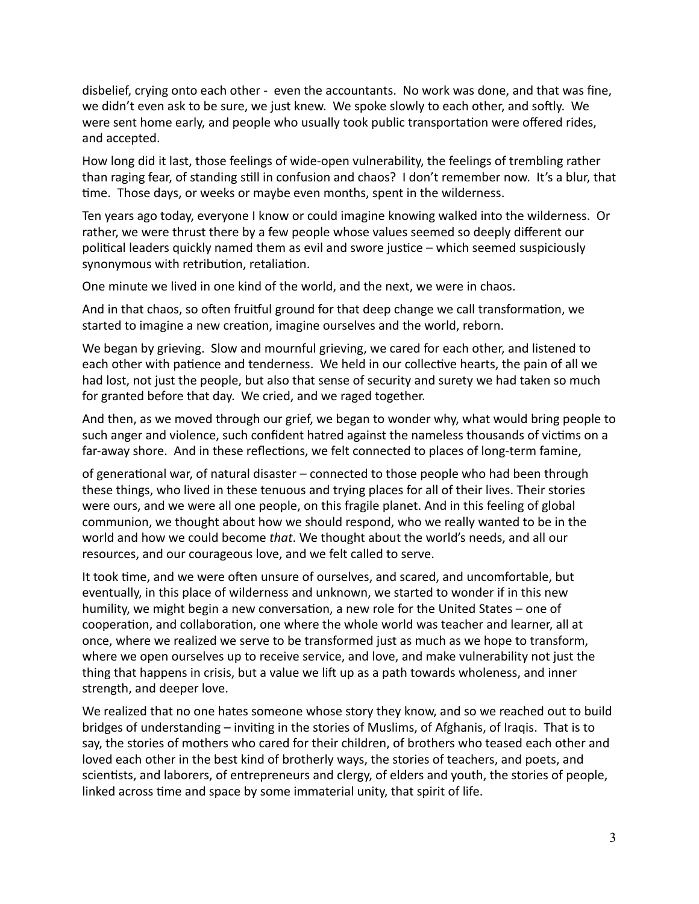disbelief, crying onto each other - even the accountants. No work was done, and that was fine, we didn't even ask to be sure, we just knew. We spoke slowly to each other, and softly. We were sent home early, and people who usually took public transportation were offered rides, and accepted.

How long did it last, those feelings of wide-open vulnerability, the feelings of trembling rather than raging fear, of standing still in confusion and chaos? I don't remember now. It's a blur, that time. Those days, or weeks or maybe even months, spent in the wilderness.

Ten years ago today, everyone I know or could imagine knowing walked into the wilderness. Or rather, we were thrust there by a few people whose values seemed so deeply different our political leaders quickly named them as evil and swore justice – which seemed suspiciously synonymous with retribution, retaliation.

One minute we lived in one kind of the world, and the next, we were in chaos.

And in that chaos, so often fruitful ground for that deep change we call transformation, we started to imagine a new creation, imagine ourselves and the world, reborn.

We began by grieving. Slow and mournful grieving, we cared for each other, and listened to each other with patience and tenderness. We held in our collective hearts, the pain of all we had lost, not just the people, but also that sense of security and surety we had taken so much for granted before that day. We cried, and we raged together.

And then, as we moved through our grief, we began to wonder why, what would bring people to such anger and violence, such confident hatred against the nameless thousands of victims on a far-away shore. And in these reflections, we felt connected to places of long-term famine,

of generational war, of natural disaster – connected to those people who had been through these things, who lived in these tenuous and trying places for all of their lives. Their stories were ours, and we were all one people, on this fragile planet. And in this feeling of global communion, we thought about how we should respond, who we really wanted to be in the world and how we could become *that*. We thought about the world's needs, and all our resources, and our courageous love, and we felt called to serve.

It took time, and we were often unsure of ourselves, and scared, and uncomfortable, but eventually, in this place of wilderness and unknown, we started to wonder if in this new humility, we might begin a new conversation, a new role for the United States – one of cooperation, and collaboration, one where the whole world was teacher and learner, all at once, where we realized we serve to be transformed just as much as we hope to transform, where we open ourselves up to receive service, and love, and make vulnerability not just the thing that happens in crisis, but a value we lift up as a path towards wholeness, and inner strength, and deeper love.

We realized that no one hates someone whose story they know, and so we reached out to build bridges of understanding – inviting in the stories of Muslims, of Afghanis, of Iraqis. That is to say, the stories of mothers who cared for their children, of brothers who teased each other and loved each other in the best kind of brotherly ways, the stories of teachers, and poets, and scientists, and laborers, of entrepreneurs and clergy, of elders and youth, the stories of people, linked across time and space by some immaterial unity, that spirit of life.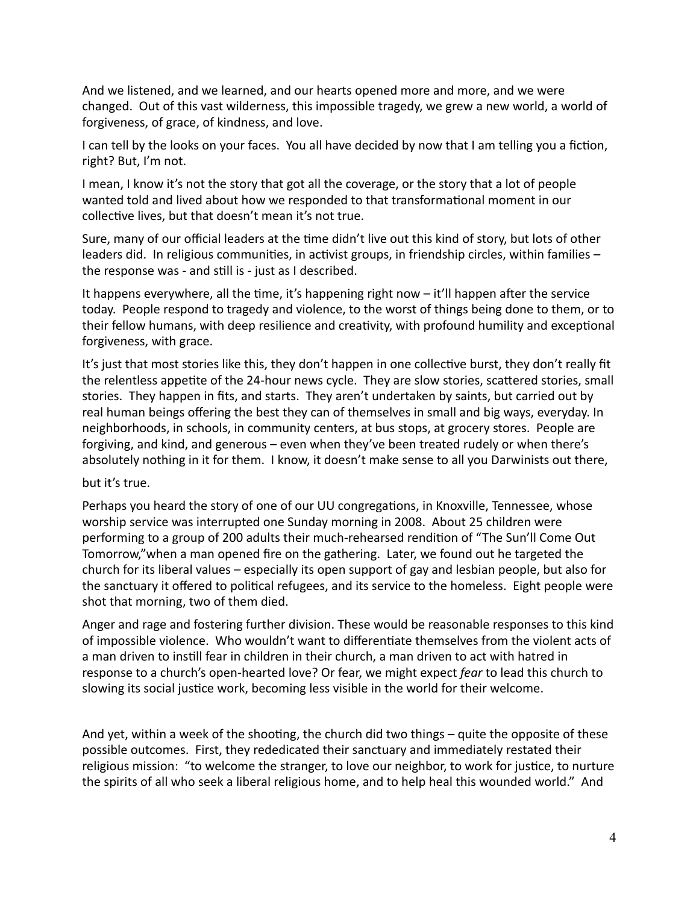And we listened, and we learned, and our hearts opened more and more, and we were changed. Out of this vast wilderness, this impossible tragedy, we grew a new world, a world of forgiveness, of grace, of kindness, and love.

I can tell by the looks on your faces. You all have decided by now that I am telling you a fiction, right? But, I'm not.

I mean, I know it's not the story that got all the coverage, or the story that a lot of people wanted told and lived about how we responded to that transformational moment in our collective lives, but that doesn't mean it's not true.

Sure, many of our official leaders at the time didn't live out this kind of story, but lots of other leaders did. In religious communities, in activist groups, in friendship circles, within families – the response was - and still is - just as I described.

It happens everywhere, all the time, it's happening right now – it'll happen after the service today. People respond to tragedy and violence, to the worst of things being done to them, or to their fellow humans, with deep resilience and creativity, with profound humility and exceptional forgiveness, with grace.

It's just that most stories like this, they don't happen in one collective burst, they don't really fit the relentless appetite of the 24-hour news cycle. They are slow stories, scattered stories, small stories. They happen in fits, and starts. They aren't undertaken by saints, but carried out by real human beings offering the best they can of themselves in small and big ways, everyday. In neighborhoods, in schools, in community centers, at bus stops, at grocery stores. People are forgiving, and kind, and generous – even when they've been treated rudely or when there's absolutely nothing in it for them. I know, it doesn't make sense to all you Darwinists out there,

## but it's true.

Perhaps you heard the story of one of our UU congregations, in Knoxville, Tennessee, whose worship service was interrupted one Sunday morning in 2008. About 25 children were performing to a group of 200 adults their much-rehearsed rendition of "The Sun'll Come Out Tomorrow,"when a man opened fire on the gathering. Later, we found out he targeted the church for its liberal values – especially its open support of gay and lesbian people, but also for the sanctuary it offered to political refugees, and its service to the homeless. Eight people were shot that morning, two of them died.

Anger and rage and fostering further division. These would be reasonable responses to this kind of impossible violence. Who wouldn't want to differentiate themselves from the violent acts of a man driven to instill fear in children in their church, a man driven to act with hatred in response to a church's open-hearted love? Or fear, we might expect *fear* to lead this church to slowing its social justice work, becoming less visible in the world for their welcome.

And yet, within a week of the shooting, the church did two things – quite the opposite of these possible outcomes. First, they rededicated their sanctuary and immediately restated their religious mission: "to welcome the stranger, to love our neighbor, to work for justice, to nurture the spirits of all who seek a liberal religious home, and to help heal this wounded world." And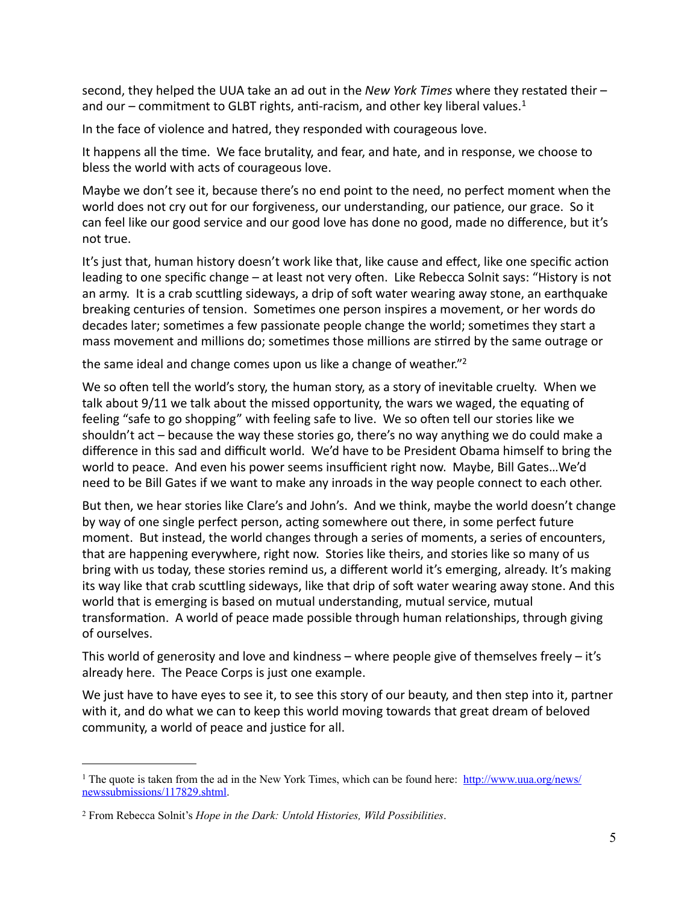second, they helped the UUA take an ad out in the *New York Times* where they restated their – and our – commitment to GLBT rights, anti-racism, and other key liberal values.<sup>1</sup>

In the face of violence and hatred, they responded with courageous love.

It happens all the time. We face brutality, and fear, and hate, and in response, we choose to bless the world with acts of courageous love.

Maybe we don't see it, because there's no end point to the need, no perfect moment when the world does not cry out for our forgiveness, our understanding, our patience, our grace. So it can feel like our good service and our good love has done no good, made no difference, but it's not true.

It's just that, human history doesn't work like that, like cause and effect, like one specific action leading to one specific change – at least not very often. Like Rebecca Solnit says: "History is not an army. It is a crab scuttling sideways, a drip of soft water wearing away stone, an earthquake breaking centuries of tension. Sometimes one person inspires a movement, or her words do decades later; sometimes a few passionate people change the world; sometimes they start a mass movement and millions do; sometimes those millions are stirred by the same outrage or

the same ideal and change comes upon us like a change of weather."<sup>2</sup>

We so often tell the world's story, the human story, as a story of inevitable cruelty. When we talk about  $9/11$  we talk about the missed opportunity, the wars we waged, the equating of feeling "safe to go shopping" with feeling safe to live. We so often tell our stories like we shouldn't act – because the way these stories go, there's no way anything we do could make a difference in this sad and difficult world. We'd have to be President Obama himself to bring the world to peace. And even his power seems insufficient right now. Maybe, Bill Gates...We'd need to be Bill Gates if we want to make any inroads in the way people connect to each other.

But then, we hear stories like Clare's and John's. And we think, maybe the world doesn't change by way of one single perfect person, acting somewhere out there, in some perfect future moment. But instead, the world changes through a series of moments, a series of encounters, that are happening everywhere, right now. Stories like theirs, and stories like so many of us bring with us today, these stories remind us, a different world it's emerging, already. It's making its way like that crab scuttling sideways, like that drip of soft water wearing away stone. And this world that is emerging is based on mutual understanding, mutual service, mutual transformation. A world of peace made possible through human relationships, through giving of ourselves.

This world of generosity and love and kindness – where people give of themselves freely – it's already here. The Peace Corps is just one example.

We just have to have eyes to see it, to see this story of our beauty, and then step into it, partner with it, and do what we can to keep this world moving towards that great dream of beloved community, a world of peace and justice for all.

<span id="page-4-0"></span><sup>&</sup>lt;sup>1</sup> The quote is taken from the ad in the New York Times, which can be found here: [http://www.uua.org/news/](http://www.uua.org/news/newssubmissions/117829.shtml) [newssubmissions/117829.shtml.](http://www.uua.org/news/newssubmissions/117829.shtml)

<span id="page-4-1"></span><sup>2</sup> From Rebecca Solnit's *Hope in the Dark: Untold Histories, Wild Possibilities*.